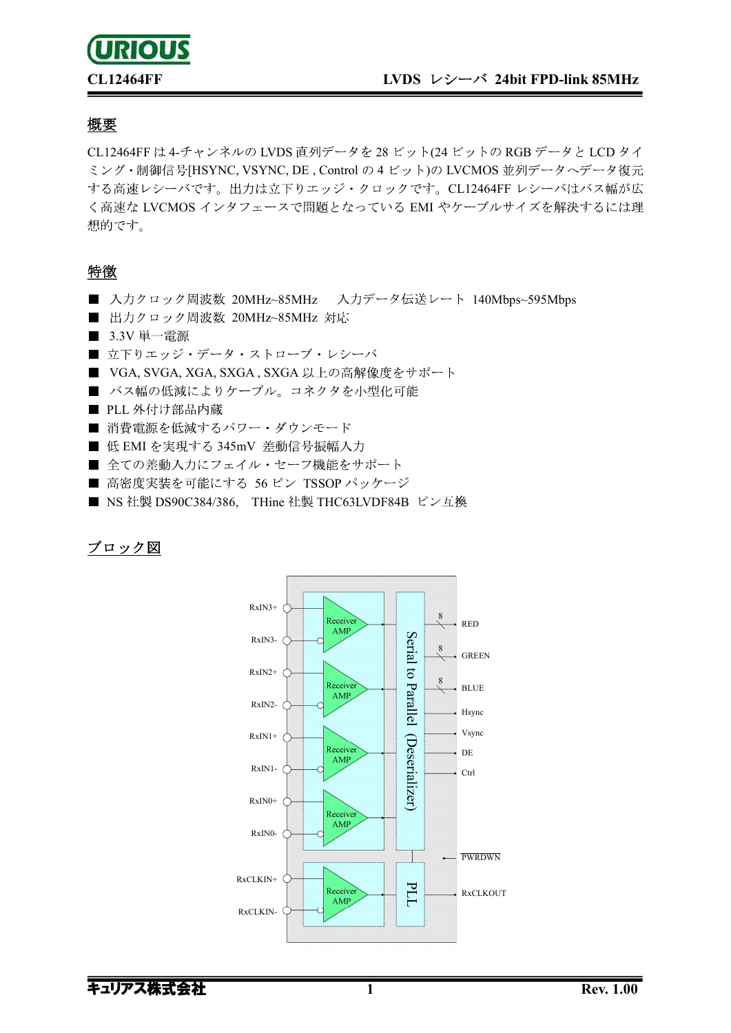

#### 概要

CL12464FF は 4-チャンネルの LVDS 直列データを 28 ビット(24 ビットの RGB データと LCD タイ ミング·制御信号[HSYNC, VSYNC, DE, Control の 4 ビット)の LVCMOS 並列データへデータ復元 する高速レシーバです。出力は立下りエッジ・クロックです。CL12464FF レシーバはバス幅が広 く高速な LVCMOS インタフェースで問題となっている EMI やケーブルサイズを解決するには理 想的です。

#### 特徴

- 入力クロック周波数 20MHz~85MHz 入力データ伝送レート 140Mbps~595Mbps
- 出力クロック周波数 20MHz~85MHz 対応
- 3.3V 単一電源
- 立下りエッジ・データ・ストローブ・レシーバ
- VGA, SVGA, XGA, SXGA, SXGA 以上の高解像度をサポート
- バス幅の低減によりケーブル。コネクタを小型化可能
- PLL 外付け部品内蔵
- 消費電源を低減するパワー・ダウンモード
- 低 EMI を実現する 345mV 差動信号振幅入力
- 全ての差動入力にフェイル・セーフ機能をサポート
- 高密度実装を可能にする 56 ピン TSSOP パッケージ
- NS 社製 DS90C384/386, THine 社製 THC63LVDF84B ピン互換

### ブロック図

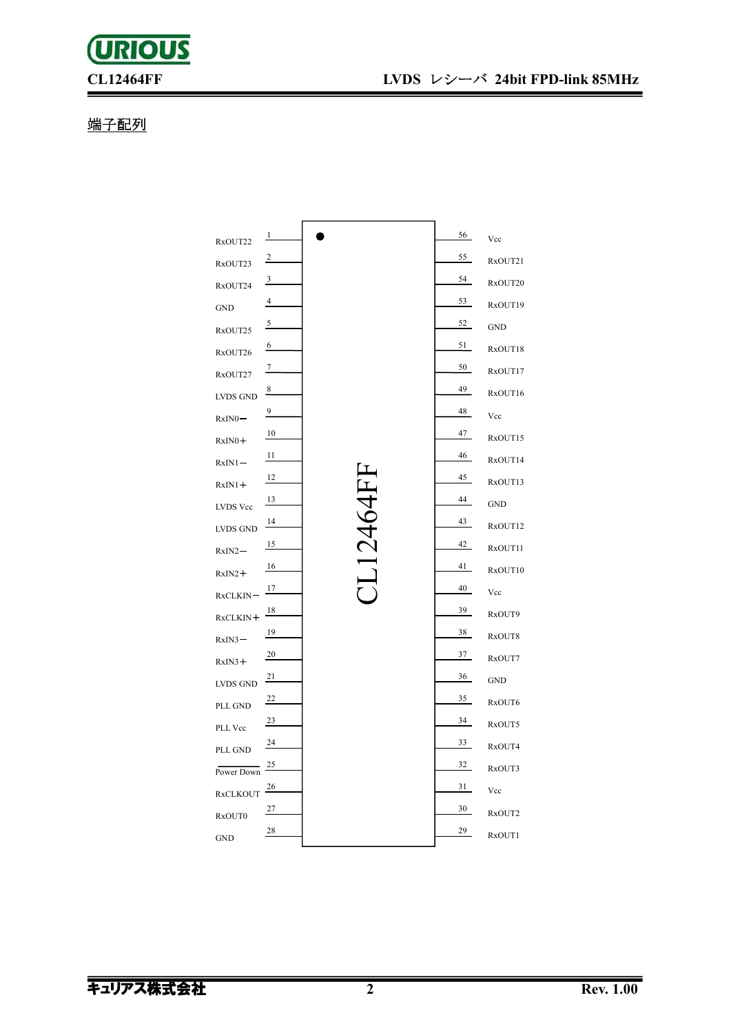## 端子配列